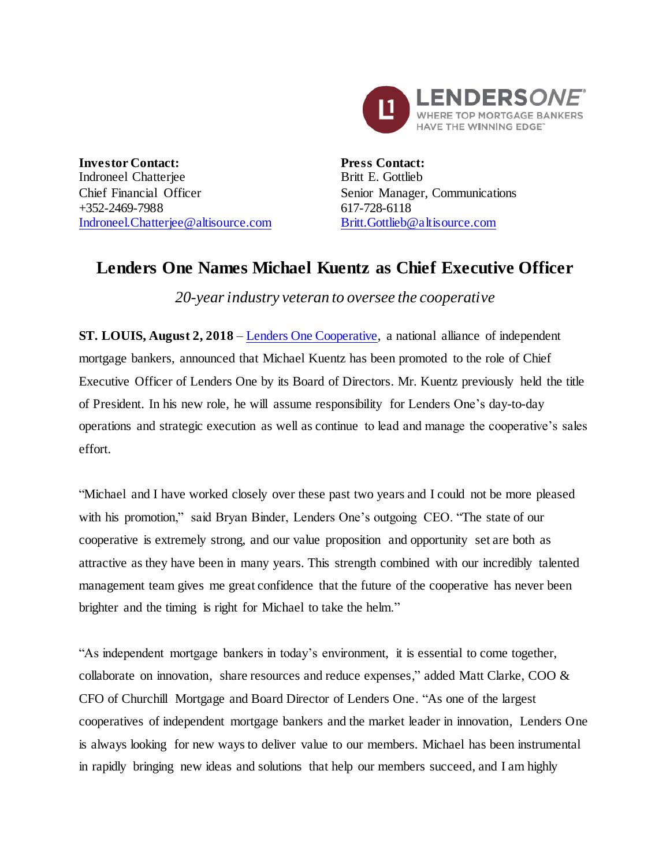

**Investor Contact:** Indroneel Chatterjee Chief Financial Officer +352-2469-7988 [Indroneel.Chatterjee@altisource.com](mailto:Indroneel.Chatterjee@altisource.com) **Press Contact:** Britt E. Gottlieb Senior Manager, Communications 617-728-6118 [Britt.Gottlieb@altisource.com](mailto:Britt.Gottlieb@altisource.com)

## **Lenders One Names Michael Kuentz as Chief Executive Officer**

*20-year industry veteran to oversee the cooperative*

**ST. LOUIS, August 2, 2018** – [Lenders One Cooperative,](http://lendersone.com/?utm_campaign=KuentzCEO&utm_source=PR&utm_medium=PR&utm_content=first) a national alliance of independent mortgage bankers, announced that Michael Kuentz has been promoted to the role of Chief Executive Officer of Lenders One by its Board of Directors. Mr. Kuentz previously held the title of President. In his new role, he will assume responsibility for Lenders One's day-to-day operations and strategic execution as well as continue to lead and manage the cooperative's sales effort.

"Michael and I have worked closely over these past two years and I could not be more pleased with his promotion," said Bryan Binder, Lenders One's outgoing CEO. "The state of our cooperative is extremely strong, and our value proposition and opportunity set are both as attractive as they have been in many years. This strength combined with our incredibly talented management team gives me great confidence that the future of the cooperative has never been brighter and the timing is right for Michael to take the helm."

"As independent mortgage bankers in today's environment, it is essential to come together, collaborate on innovation, share resources and reduce expenses," added Matt Clarke, COO  $\&$ CFO of Churchill Mortgage and Board Director of Lenders One. "As one of the largest cooperatives of independent mortgage bankers and the market leader in innovation, Lenders One is always looking for new ways to deliver value to our members. Michael has been instrumental in rapidly bringing new ideas and solutions that help our members succeed, and I am highly